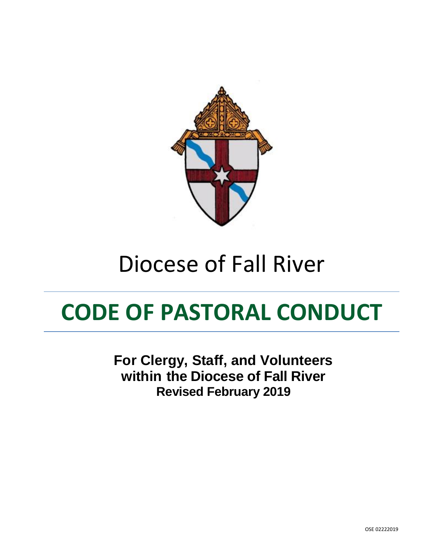

# Diocese of Fall River

# **CODE OF PASTORAL CONDUCT**

**For Clergy, Staff, and Volunteers within the Diocese of Fall River Revised February 2019**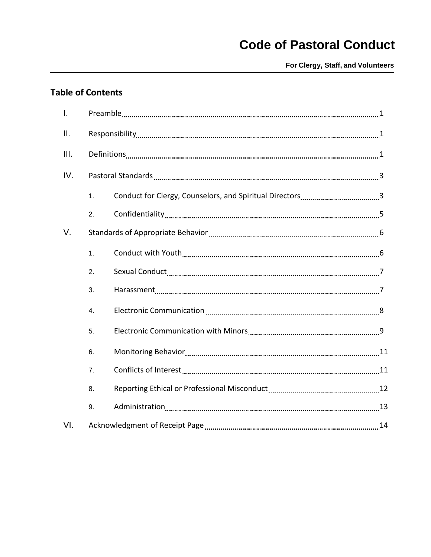**For Clergy, Staff, and Volunteers**

### **Table of Contents**

| $\mathbf{I}$ . |    |  |  |  |
|----------------|----|--|--|--|
| II.            |    |  |  |  |
| III.           |    |  |  |  |
| IV.            |    |  |  |  |
|                | 1. |  |  |  |
|                | 2. |  |  |  |
| V.             |    |  |  |  |
|                | 1. |  |  |  |
|                | 2. |  |  |  |
|                | 3. |  |  |  |
|                | 4. |  |  |  |
|                | 5. |  |  |  |
|                | 6. |  |  |  |
|                | 7. |  |  |  |
|                | 8. |  |  |  |
|                | 9. |  |  |  |
| VI.            |    |  |  |  |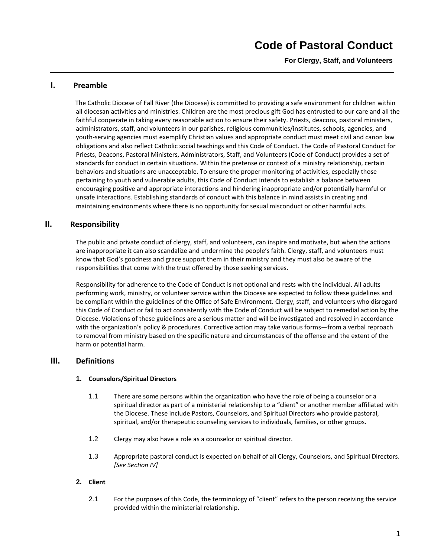**For Clergy, Staff, and Volunteers**

### **I. Preamble**

The Catholic Diocese of Fall River (the Diocese) is committed to providing a safe environment for children within all diocesan activities and ministries. Children are the most precious gift God has entrusted to our care and all the faithful cooperate in taking every reasonable action to ensure their safety. Priests, deacons, pastoral ministers, administrators, staff, and volunteers in our parishes, religious communities/institutes, schools, agencies, and youth-serving agencies must exemplify Christian values and appropriate conduct must meet civil and canon law obligations and also reflect Catholic social teachings and this Code of Conduct. The Code of Pastoral Conduct for Priests, Deacons, Pastoral Ministers, Administrators, Staff, and Volunteers (Code of Conduct) provides a set of standards for conduct in certain situations. Within the pretense or context of a ministry relationship, certain behaviors and situations are unacceptable. To ensure the proper monitoring of activities, especially those pertaining to youth and vulnerable adults, this Code of Conduct intends to establish a balance between encouraging positive and appropriate interactions and hindering inappropriate and/or potentially harmful or unsafe interactions. Establishing standards of conduct with this balance in mind assists in creating and maintaining environments where there is no opportunity for sexual misconduct or other harmful acts.

### **II. Responsibility**

The public and private conduct of clergy, staff, and volunteers, can inspire and motivate, but when the actions are inappropriate it can also scandalize and undermine the people's faith. Clergy, staff, and volunteers must know that God's goodness and grace support them in their ministry and they must also be aware of the responsibilities that come with the trust offered by those seeking services.

Responsibility for adherence to the Code of Conduct is not optional and rests with the individual. All adults performing work, ministry, or volunteer service within the Diocese are expected to follow these guidelines and be compliant within the guidelines of the Office of Safe Environment. Clergy, staff, and volunteers who disregard this Code of Conduct or fail to act consistently with the Code of Conduct will be subject to remedial action by the Diocese. Violations of these guidelines are a serious matter and will be investigated and resolved in accordance with the organization's policy & procedures. Corrective action may take various forms—from a verbal reproach to removal from ministry based on the specific nature and circumstances of the offense and the extent of the harm or potential harm.

### **III. Definitions**

### **1. Counselors/Spiritual Directors**

- 1.1 There are some persons within the organization who have the role of being a counselor or a spiritual director as part of a ministerial relationship to a "client" or another member affiliated with the Diocese. These include Pastors, Counselors, and Spiritual Directors who provide pastoral, spiritual, and/or therapeutic counseling services to individuals, families, or other groups.
- 1.2 Clergy may also have a role as a counselor or spiritual director.
- 1.3 Appropriate pastoral conduct is expected on behalf of all Clergy, Counselors, and Spiritual Directors. *[See Section IV]*

### **2. Client**

2.1 For the purposes of this Code, the terminology of "client" refers to the person receiving the service provided within the ministerial relationship.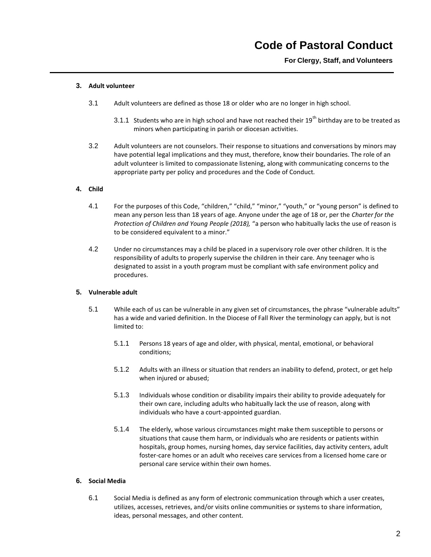**For Clergy, Staff, and Volunteers**

### **3. Adult volunteer**

- 3.1 Adult volunteers are defined as those 18 or older who are no longer in high school.
	- 3.1.1 Students who are in high school and have not reached their  $19<sup>th</sup>$  birthday are to be treated as minors when participating in parish or diocesan activities.
- 3.2 Adult volunteers are not counselors. Their response to situations and conversations by minors may have potential legal implications and they must, therefore, know their boundaries. The role of an adult volunteer is limited to compassionate listening, along with communicating concerns to the appropriate party per policy and procedures and the Code of Conduct*.*

### **4. Child**

- 4.1 For the purposes of this Code, "children," "child," "minor," "youth," or "young person" is defined to mean any person less than 18 years of age. Anyone under the age of 18 or, per the *Charter for the Protection of Children and Young People (2018),* "a person who habitually lacks the use of reason is to be considered equivalent to a minor."
- 4.2 Under no circumstances may a child be placed in a supervisory role over other children. It is the responsibility of adults to properly supervise the children in their care. Any teenager who is designated to assist in a youth program must be compliant with safe environment policy and procedures.

### **5. Vulnerable adult**

- 5.1 While each of us can be vulnerable in any given set of circumstances, the phrase "vulnerable adults" has a wide and varied definition. In the Diocese of Fall River the terminology can apply, but is not limited to:
	- 5.1.1 Persons 18 years of age and older, with physical, mental, emotional, or behavioral conditions;
	- 5.1.2 Adults with an illness or situation that renders an inability to defend, protect, or get help when injured or abused;
	- 5.1.3 Individuals whose condition or disability impairs their ability to provide adequately for their own care, including adults who habitually lack the use of reason, along with individuals who have a court-appointed guardian.
	- 5.1.4 The elderly, whose various circumstances might make them susceptible to persons or situations that cause them harm, or individuals who are residents or patients within hospitals, group homes, nursing homes, day service facilities, day activity centers, adult foster-care homes or an adult who receives care services from a licensed home care or personal care service within their own homes.

### **6. Social Media**

6.1 Social Media is defined as any form of electronic communication through which a user creates, utilizes, accesses, retrieves, and/or visits online communities or systems to share information, ideas, personal messages, and other content.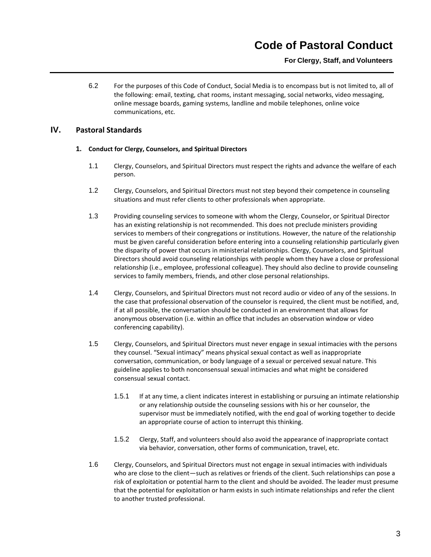**For Clergy, Staff, and Volunteers**

6.2 For the purposes of this Code of Conduct, Social Media is to encompass but is not limited to, all of the following: email, texting, chat rooms, instant messaging, social networks, video messaging, online message boards, gaming systems, landline and mobile telephones, online voice communications, etc.

### **IV. Pastoral Standards**

### **1. Conduct for Clergy, Counselors, and Spiritual Directors**

- 1.1 Clergy, Counselors, and Spiritual Directors must respect the rights and advance the welfare of each person.
- 1.2 Clergy, Counselors, and Spiritual Directors must not step beyond their competence in counseling situations and must refer clients to other professionals when appropriate.
- 1.3 Providing counseling services to someone with whom the Clergy, Counselor, or Spiritual Director has an existing relationship is not recommended. This does not preclude ministers providing services to members of their congregations or institutions. However, the nature of the relationship must be given careful consideration before entering into a counseling relationship particularly given the disparity of power that occurs in ministerial relationships. Clergy, Counselors, and Spiritual Directors should avoid counseling relationships with people whom they have a close or professional relationship (i.e., employee, professional colleague). They should also decline to provide counseling services to family members, friends, and other close personal relationships.
- 1.4 Clergy, Counselors, and Spiritual Directors must not record audio or video of any of the sessions. In the case that professional observation of the counselor is required, the client must be notified, and, if at all possible, the conversation should be conducted in an environment that allows for anonymous observation (i.e. within an office that includes an observation window or video conferencing capability).
- 1.5 Clergy, Counselors, and Spiritual Directors must never engage in sexual intimacies with the persons they counsel. "Sexual intimacy" means physical sexual contact as well as inappropriate conversation, communication, or body language of a sexual or perceived sexual nature. This guideline applies to both nonconsensual sexual intimacies and what might be considered consensual sexual contact.
	- 1.5.1 If at any time, a client indicates interest in establishing or pursuing an intimate relationship or any relationship outside the counseling sessions with his or her counselor, the supervisor must be immediately notified, with the end goal of working together to decide an appropriate course of action to interrupt this thinking.
	- 1.5.2 Clergy, Staff, and volunteers should also avoid the appearance of inappropriate contact via behavior, conversation, other forms of communication, travel, etc.
- 1.6 Clergy, Counselors, and Spiritual Directors must not engage in sexual intimacies with individuals who are close to the client—such as relatives or friends of the client. Such relationships can pose a risk of exploitation or potential harm to the client and should be avoided. The leader must presume that the potential for exploitation or harm exists in such intimate relationships and refer the client to another trusted professional.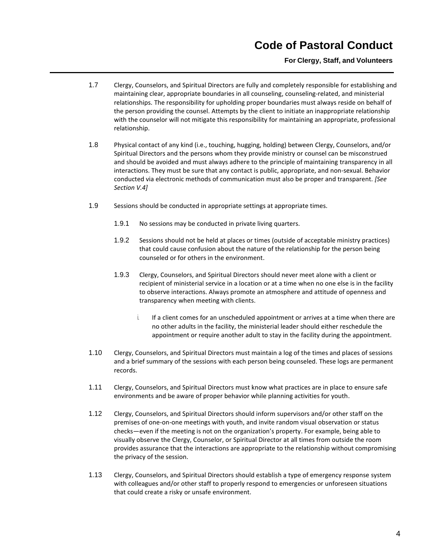**For Clergy, Staff, and Volunteers**

- 1.7 Clergy, Counselors, and Spiritual Directors are fully and completely responsible for establishing and maintaining clear, appropriate boundaries in all counseling, counseling-related, and ministerial relationships. The responsibility for upholding proper boundaries must always reside on behalf of the person providing the counsel. Attempts by the client to initiate an inappropriate relationship with the counselor will not mitigate this responsibility for maintaining an appropriate, professional relationship.
- 1.8 Physical contact of any kind (i.e., touching, hugging, holding) between Clergy, Counselors, and/or Spiritual Directors and the persons whom they provide ministry or counsel can be misconstrued and should be avoided and must always adhere to the principle of maintaining transparency in all interactions. They must be sure that any contact is public, appropriate, and non-sexual. Behavior conducted via electronic methods of communication must also be proper and transparent. *[See Section V.4]*
- 1.9 Sessions should be conducted in appropriate settings at appropriate times.
	- 1.9.1 No sessions may be conducted in private living quarters.
	- 1.9.2 Sessions should not be held at places or times (outside of acceptable ministry practices) that could cause confusion about the nature of the relationship for the person being counseled or for others in the environment.
	- 1.9.3 Clergy, Counselors, and Spiritual Directors should never meet alone with a client or recipient of ministerial service in a location or at a time when no one else is in the facility to observe interactions. Always promote an atmosphere and attitude of openness and transparency when meeting with clients.
		- i. If a client comes for an unscheduled appointment or arrives at a time when there are no other adults in the facility, the ministerial leader should either reschedule the appointment or require another adult to stay in the facility during the appointment.
- 1.10 Clergy, Counselors, and Spiritual Directors must maintain a log of the times and places of sessions and a brief summary of the sessions with each person being counseled. These logs are permanent records.
- 1.11 Clergy, Counselors, and Spiritual Directors must know what practices are in place to ensure safe environments and be aware of proper behavior while planning activities for youth.
- 1.12 Clergy, Counselors, and Spiritual Directors should inform supervisors and/or other staff on the premises of one-on-one meetings with youth, and invite random visual observation or status checks—even if the meeting is not on the organization's property. For example, being able to visually observe the Clergy, Counselor, or Spiritual Director at all times from outside the room provides assurance that the interactions are appropriate to the relationship without compromising the privacy of the session.
- 1.13 Clergy, Counselors, and Spiritual Directors should establish a type of emergency response system with colleagues and/or other staff to properly respond to emergencies or unforeseen situations that could create a risky or unsafe environment.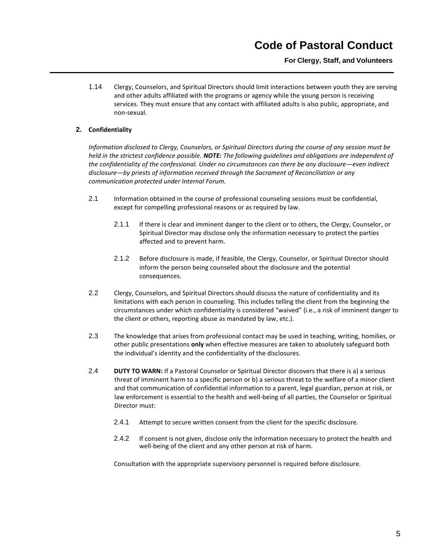**For Clergy, Staff, and Volunteers**

1.14 Clergy, Counselors, and Spiritual Directors should limit interactions between youth they are serving and other adults affiliated with the programs or agency while the young person is receiving services. They must ensure that any contact with affiliated adults is also public, appropriate, and non-sexual.

### **2. Confidentiality**

*Information disclosed to Clergy, Counselors, or Spiritual Directors during the course of any session must be held in the strictest confidence possible. NOTE: The following guidelines and obligations are independent of the confidentiality of the confessional. Under no circumstances can there be any disclosure—even indirect disclosure—by priests of information received through the Sacrament of Reconciliation or any communication protected under Internal Forum.*

- 2.1 Information obtained in the course of professional counseling sessions must be confidential, except for compelling professional reasons or as required by law.
	- 2.1.1 If there is clear and imminent danger to the client or to others, the Clergy, Counselor, or Spiritual Director may disclose only the information necessary to protect the parties affected and to prevent harm.
	- 2.1.2 Before disclosure is made, if feasible, the Clergy, Counselor, or Spiritual Director should inform the person being counseled about the disclosure and the potential consequences.
- 2.2 Clergy, Counselors, and Spiritual Directors should discuss the nature of confidentiality and its limitations with each person in counseling. This includes telling the client from the beginning the circumstances under which confidentiality is considered "waived" (i.e., a risk of imminent danger to the client or others, reporting abuse as mandated by law, etc.).
- 2.3 The knowledge that arises from professional contact may be used in teaching, writing, homilies, or other public presentations **only** when effective measures are taken to absolutely safeguard both the individual's identity and the confidentiality of the disclosures.
- 2.4 **DUTY TO WARN:** If a Pastoral Counselor or Spiritual Director discovers that there is a) a serious threat of imminent harm to a specific person or b) a serious threat to the welfare of a minor client and that communication of confidential information to a parent, legal guardian, person at risk, or law enforcement is essential to the health and well-being of all parties, the Counselor or Spiritual Director must:
	- 2.4.1 Attempt to secure written consent from the client for the specific disclosure.
	- 2.4.2 If consent is not given, disclose only the information necessary to protect the health and well-being of the client and any other person at risk of harm.

Consultation with the appropriate supervisory personnel is required before disclosure.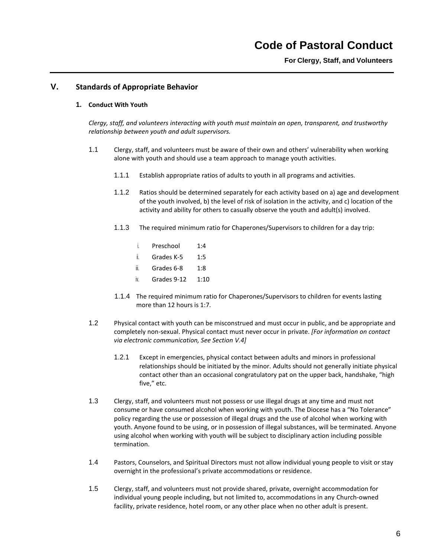**For Clergy, Staff, and Volunteers**

### **V. Standards of Appropriate Behavior**

#### **1. Conduct With Youth**

*Clergy, staff, and volunteers interacting with youth must maintain an open, transparent, and trustworthy relationship between youth and adult supervisors.*

- 1.1 Clergy, staff, and volunteers must be aware of their own and others' vulnerability when working alone with youth and should use a team approach to manage youth activities.
	- 1.1.1 Establish appropriate ratios of adults to youth in all programs and activities.
	- 1.1.2 Ratios should be determined separately for each activity based on a) age and development of the youth involved, b) the level of risk of isolation in the activity, and c) location of the activity and ability for others to casually observe the youth and adult(s) involved.
	- 1.1.3 The required minimum ratio for Chaperones/Supervisors to children for a day trip:
		- i. Preschool 1:4
		- ii. Grades K-5 1:5
		- iii. Grades 6-8 1:8
		- iv. Grades 9-12 1:10
	- 1.1.4 The required minimum ratio for Chaperones/Supervisors to children for events lasting more than 12 hours is 1:7.
- 1.2 Physical contact with youth can be misconstrued and must occur in public, and be appropriate and completely non-sexual. Physical contact must never occur in private. *[For information on contact via electronic communication, See Section V.4]*
	- 1.2.1 Except in emergencies, physical contact between adults and minors in professional relationships should be initiated by the minor. Adults should not generally initiate physical contact other than an occasional congratulatory pat on the upper back, handshake, "high five," etc.
- 1.3 Clergy, staff, and volunteers must not possess or use illegal drugs at any time and must not consume or have consumed alcohol when working with youth. The Diocese has a "No Tolerance" policy regarding the use or possession of illegal drugs and the use of alcohol when working with youth. Anyone found to be using, or in possession of illegal substances, will be terminated. Anyone using alcohol when working with youth will be subject to disciplinary action including possible termination.
- 1.4 Pastors, Counselors, and Spiritual Directors must not allow individual young people to visit or stay overnight in the professional's private accommodations or residence.
- 1.5 Clergy, staff, and volunteers must not provide shared, private, overnight accommodation for individual young people including, but not limited to, accommodations in any Church-owned facility, private residence, hotel room, or any other place when no other adult is present.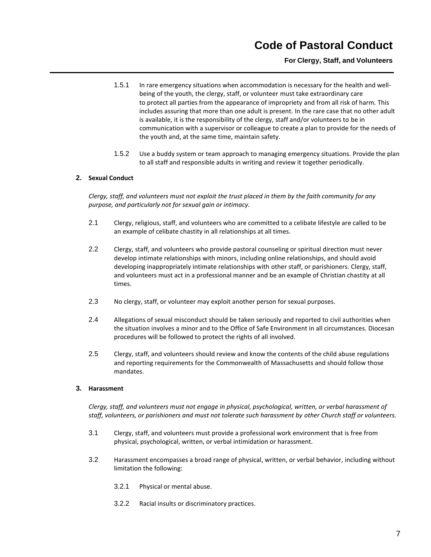**For Clergy, Staff, and Volunteers**

- 1.5.1 In rare emergency situations when accommodation is necessary for the health and wellbeing of the youth, the clergy, staff, or volunteer must take extraordinary care to protect all parties from the appearance of impropriety and from all risk of harm. This includes assuring that more than one adult is present. In the rare case that no other adult is available, it is the responsibility of the clergy, staff and/or volunteers to be in communication with a supervisor or colleague to create a plan to provide for the needs of the youth and, at the same time, maintain safety.
- 1.5.2 Use a buddy system or team approach to managing emergency situations. Provide the plan to all staff and responsible adults in writing and review it together periodically.

### **2. Sexual Conduct**

*Clergy, staff, and volunteers must not exploit the trust placed in them by the faith community for any purpose, and particularly not for sexual gain or intimacy.*

- 2.1 Clergy, religious, staff, and volunteers who are committed to a celibate lifestyle are called to be an example of celibate chastity in all relationships at all times.
- 2.2 Clergy, staff, and volunteers who provide pastoral counseling or spiritual direction must never develop intimate relationships with minors, including online relationships, and should avoid developing inappropriately intimate relationships with other staff, or parishioners. Clergy, staff, and volunteers must act in a professional manner and be an example of Christian chastity at all times.
- 2.3 No clergy, staff, or volunteer may exploit another person for sexual purposes.
- 2.4 Allegations of sexual misconduct should be taken seriously and reported to civil authorities when the situation involves a minor and to the Office of Safe Environment in all circumstances. Diocesan procedures will be followed to protect the rights of all involved.
- 2.5 Clergy, staff, and volunteers should review and know the contents of the child abuse regulations and reporting requirements for the Commonwealth of Massachusetts and should follow those mandates.

### **3. Harassment**

*Clergy, staff, and volunteers must not engage in physical, psychological, written, or verbal harassment of staff, volunteers, or parishioners and must not tolerate such harassment by other Church staff or volunteers.*

- 3.1 Clergy, staff, and volunteers must provide a professional work environment that is free from physical, psychological, written, or verbal intimidation or harassment.
- 3.2 Harassment encompasses a broad range of physical, written, or verbal behavior, including without limitation the following:
	- 3.2.1 Physical or mental abuse.
	- 3.2.2 Racial insults or discriminatory practices.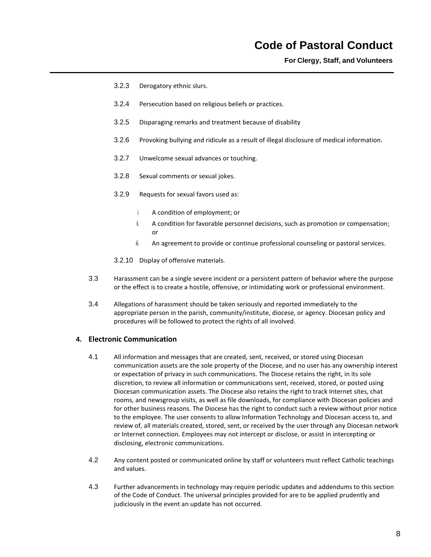**For Clergy, Staff, and Volunteers**

- 3.2.3 Derogatory ethnic slurs.
- 3.2.4 Persecution based on religious beliefs or practices.
- 3.2.5 Disparaging remarks and treatment because of disability
- 3.2.6 Provoking bullying and ridicule as a result of illegal disclosure of medical information.
- 3.2.7 Unwelcome sexual advances or touching.
- 3.2.8 Sexual comments or sexual jokes.
- 3.2.9 Requests for sexual favors used as:
	- i. A condition of employment; or
	- ii. A condition for favorable personnel decisions, such as promotion or compensation; or
	- $\mathbb{I}$  An agreement to provide or continue professional counseling or pastoral services.
- 3.2.10 Display of offensive materials.
- 3.3 Harassment can be a single severe incident or a persistent pattern of behavior where the purpose or the effect is to create a hostile, offensive, or intimidating work or professional environment.
- 3.4 Allegations of harassment should be taken seriously and reported immediately to the appropriate person in the parish, community/institute, diocese, or agency. Diocesan policy and procedures will be followed to protect the rights of all involved.

### **4. Electronic Communication**

- 4.1 All information and messages that are created, sent, received, or stored using Diocesan communication assets are the sole property of the Diocese, and no user has any ownership interest or expectation of privacy in such communications. The Diocese retains the right, in its sole discretion, to review all information or communications sent, received, stored, or posted using Diocesan communication assets. The Diocese also retains the right to track Internet sites, chat rooms, and newsgroup visits, as well as file downloads, for compliance with Diocesan policies and for other business reasons. The Diocese has the right to conduct such a review without prior notice to the employee. The user consents to allow Information Technology and Diocesan access to, and review of, all materials created, stored, sent, or received by the user through any Diocesan network or Internet connection. Employees may not intercept or disclose, or assist in intercepting or disclosing, electronic communications.
- 4.2 Any content posted or communicated online by staff or volunteers must reflect Catholic teachings and values.
- 4.3 Further advancements in technology may require periodic updates and addendums to this section of the Code of Conduct. The universal principles provided for are to be applied prudently and judiciously in the event an update has not occurred.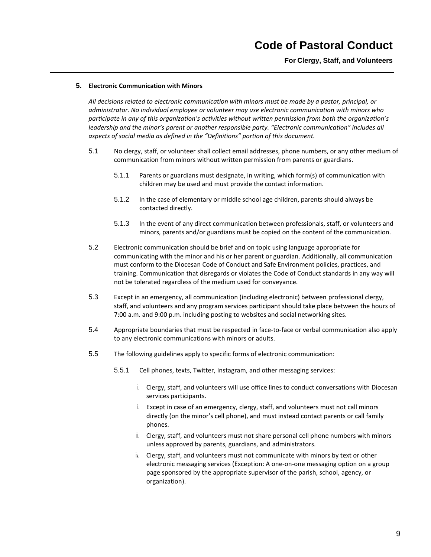**For Clergy, Staff, and Volunteers**

#### **5. Electronic Communication with Minors**

*All decisions related to electronic communication with minors must be made by a pastor, principal, or administrator. No individual employee or volunteer may use electronic communication with minors who participate in any of this organization's activities without written permission from both the organization's leadership and the minor's parent or another responsible party. "Electronic communication" includes all aspects of social media as defined in the "Definitions" portion of this document.* 

- 5.1 No clergy, staff, or volunteer shall collect email addresses, phone numbers, or any other medium of communication from minors without written permission from parents or guardians.
	- 5.1.1 Parents or guardians must designate, in writing, which form(s) of communication with children may be used and must provide the contact information.
	- 5.1.2 In the case of elementary or middle school age children, parents should always be contacted directly.
	- 5.1.3 In the event of any direct communication between professionals, staff, or volunteers and minors, parents and/or guardians must be copied on the content of the communication.
- 5.2 Electronic communication should be brief and on topic using language appropriate for communicating with the minor and his or her parent or guardian. Additionally, all communication must conform to the Diocesan Code of Conduct and Safe Environment policies, practices, and training. Communication that disregards or violates the Code of Conduct standards in any way will not be tolerated regardless of the medium used for conveyance.
- 5.3 Except in an emergency, all communication (including electronic) between professional clergy, staff, and volunteers and any program services participant should take place between the hours of 7:00 a.m. and 9:00 p.m. including posting to websites and social networking sites.
- 5.4 Appropriate boundaries that must be respected in face-to-face or verbal communication also apply to any electronic communications with minors or adults.
- 5.5 The following guidelines apply to specific forms of electronic communication:
	- 5.5.1 Cell phones, texts, Twitter, Instagram, and other messaging services:
		- i. Clergy, staff, and volunteers will use office lines to conduct conversations with Diocesan services participants.
		- $\ddot{a}$ . Except in case of an emergency, clergy, staff, and volunteers must not call minors directly (on the minor's cell phone), and must instead contact parents or call family phones.
		- iii. Clergy, staff, and volunteers must not share personal cell phone numbers with minors unless approved by parents, guardians, and administrators.
		- iv. Clergy, staff, and volunteers must not communicate with minors by text or other electronic messaging services (Exception: A one-on-one messaging option on a group page sponsored by the appropriate supervisor of the parish, school, agency, or organization).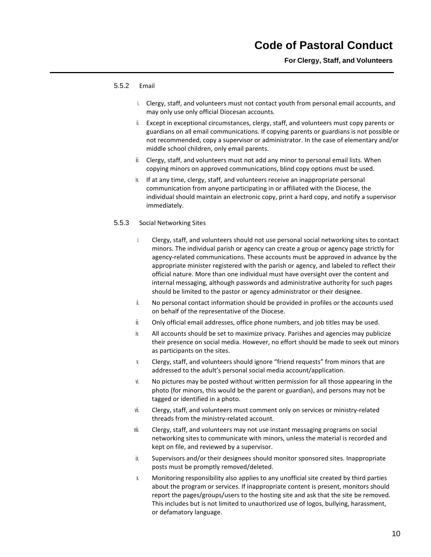**For Clergy, Staff, and Volunteers**

#### 5.5.2 Email

- i. Clergy, staff, and volunteers must not contact youth from personal email accounts, and may only use only official Diocesan accounts.
- ii. Except in exceptional circumstances, clergy, staff, and volunteers must copy parents or guardians on all email communications. If copying parents or guardians is not possible or not recommended, copy a supervisor or administrator. In the case of elementary and/or middle school children, only email parents.
- $\ddot{\mathbf{u}}$ . Clergy, staff, and volunteers must not add any minor to personal email lists. When copying minors on approved communications, blind copy options must be used.
- iv. If at any time, clergy, staff, and volunteers receive an inappropriate personal communication from anyone participating in or affiliated with the Diocese, the individual should maintain an electronic copy, print a hard copy, and notify a supervisor immediately.

#### 5.5.3 Social Networking Sites

- i. Clergy, staff, and volunteers should not use personal social networking sites to contact minors. The individual parish or agency can create a group or agency page strictly for agency-related communications. These accounts must be approved in advance by the appropriate minister registered with the parish or agency, and labeled to reflect their official nature. More than one individual must have oversight over the content and internal messaging, although passwords and administrative authority for such pages should be limited to the pastor or agency administrator or their designee.
- ii. No personal contact information should be provided in profiles or the accounts used on behalf of the representative of the Diocese.
- iii. Only official email addresses, office phone numbers, and job titles may be used.
- iv. All accounts should be set to maximize privacy. Parishes and agencies may publicize their presence on social media. However, no effort should be made to seek out minors as participants on the sites.
- v. Clergy, staff, and volunteers should ignore "friend requests" from minors that are addressed to the adult's personal social media account/application.
- vi. No pictures may be posted without written permission for all those appearing in the photo (for minors, this would be the parent or guardian), and persons may not be tagged or identified in a photo.
- vii. Clergy, staff, and volunteers must comment only on services or ministry-related threads from the ministry-related account.
- viii. Clergy, staff, and volunteers may not use instant messaging programs on social networking sites to communicate with minors, unless the material is recorded and kept on file, and reviewed by a supervisor.
- ix. Supervisors and/or their designees should monitor sponsored sites. Inappropriate posts must be promptly removed/deleted.
- x. Monitoring responsibility also applies to any unofficial site created by third parties about the program or services. If inappropriate content is present, monitors should report the pages/groups/users to the hosting site and ask that the site be removed. This includes but is not limited to unauthorized use of logos, bullying, harassment, or defamatory language.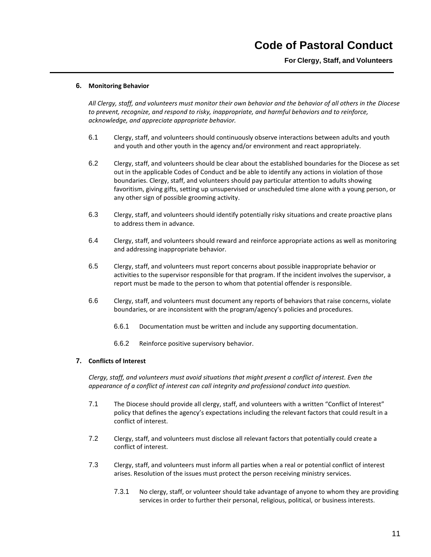**For Clergy, Staff, and Volunteers**

### **6. Monitoring Behavior**

*All Clergy, staff, and volunteers must monitor their own behavior and the behavior of all others in the Diocese to prevent, recognize, and respond to risky, inappropriate, and harmful behaviors and to reinforce, acknowledge, and appreciate appropriate behavior.* 

- 6.1 Clergy, staff, and volunteers should continuously observe interactions between adults and youth and youth and other youth in the agency and/or environment and react appropriately.
- 6.2 Clergy, staff, and volunteers should be clear about the established boundaries for the Diocese as set out in the applicable Codes of Conduct and be able to identify any actions in violation of those boundaries. Clergy, staff, and volunteers should pay particular attention to adults showing favoritism, giving gifts, setting up unsupervised or unscheduled time alone with a young person, or any other sign of possible grooming activity.
- 6.3 Clergy, staff, and volunteers should identify potentially risky situations and create proactive plans to address them in advance.
- 6.4 Clergy, staff, and volunteers should reward and reinforce appropriate actions as well as monitoring and addressing inappropriate behavior.
- 6.5 Clergy, staff, and volunteers must report concerns about possible inappropriate behavior or activities to the supervisor responsible for that program. If the incident involves the supervisor, a report must be made to the person to whom that potential offender is responsible.
- 6.6 Clergy, staff, and volunteers must document any reports of behaviors that raise concerns, violate boundaries, or are inconsistent with the program/agency's policies and procedures.
	- 6.6.1 Documentation must be written and include any supporting documentation.
	- 6.6.2 Reinforce positive supervisory behavior.

#### **7. Conflicts of Interest**

*Clergy, staff, and volunteers must avoid situations that might present a conflict of interest. Even the appearance of a conflict of interest can call integrity and professional conduct into question.*

- 7.1 The Diocese should provide all clergy, staff, and volunteers with a written "Conflict of Interest" policy that defines the agency's expectations including the relevant factors that could result in a conflict of interest.
- 7.2 Clergy, staff, and volunteers must disclose all relevant factors that potentially could create a conflict of interest.
- 7.3 Clergy, staff, and volunteers must inform all parties when a real or potential conflict of interest arises. Resolution of the issues must protect the person receiving ministry services.
	- 7.3.1 No clergy, staff, or volunteer should take advantage of anyone to whom they are providing services in order to further their personal, religious, political, or business interests.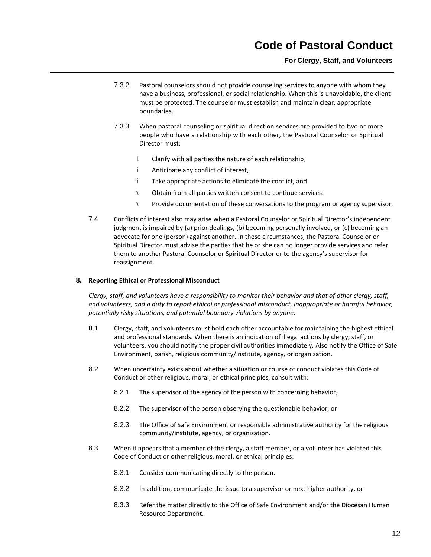**For Clergy, Staff, and Volunteers**

- 7.3.2 Pastoral counselors should not provide counseling services to anyone with whom they have a business, professional, or social relationship. When this is unavoidable, the client must be protected. The counselor must establish and maintain clear, appropriate boundaries.
- 7.3.3 When pastoral counseling or spiritual direction services are provided to two or more people who have a relationship with each other, the Pastoral Counselor or Spiritual Director must:
	- i. Clarify with all parties the nature of each relationship,
	- ii. Anticipate any conflict of interest,
	- iii. Take appropriate actions to eliminate the conflict, and
	- iv. Obtain from all parties written consent to continue services.
	- v. Provide documentation of these conversations to the program or agency supervisor.
- 7.4 Conflicts of interest also may arise when a Pastoral Counselor or Spiritual Director's independent judgment is impaired by (a) prior dealings, (b) becoming personally involved, or (c) becoming an advocate for one (person) against another. In these circumstances, the Pastoral Counselor or Spiritual Director must advise the parties that he or she can no longer provide services and refer them to another Pastoral Counselor or Spiritual Director or to the agency's supervisor for reassignment.

### **8. Reporting Ethical or Professional Misconduct**

*Clergy, staff, and volunteers have a responsibility to monitor their behavior and that of other <i>clergy, staff, and volunteers, and a duty to report ethical or professional misconduct, inappropriate or harmful behavior, potentially risky situations, and potential boundary violations by anyone.*

- 8.1 Clergy, staff, and volunteers must hold each other accountable for maintaining the highest ethical and professional standards. When there is an indication of illegal actions by clergy, staff, or volunteers, you should notify the proper civil authorities immediately. Also notify the Office of Safe Environment, parish, religious community/institute, agency, or organization.
- 8.2 When uncertainty exists about whether a situation or course of conduct violates this Code of Conduct or other religious, moral, or ethical principles, consult with:
	- 8.2.1 The supervisor of the agency of the person with concerning behavior,
	- 8.2.2 The supervisor of the person observing the questionable behavior, or
	- 8.2.3 The Office of Safe Environment or responsible administrative authority for the religious community/institute, agency, or organization.
- 8.3 When it appears that a member of the clergy, a staff member, or a volunteer has violated this Code of Conduct or other religious, moral, or ethical principles:
	- 8.3.1 Consider communicating directly to the person.
	- 8.3.2 In addition, communicate the issue to a supervisor or next higher authority, or
	- 8.3.3 Refer the matter directly to the Office of Safe Environment and/or the Diocesan Human Resource Department.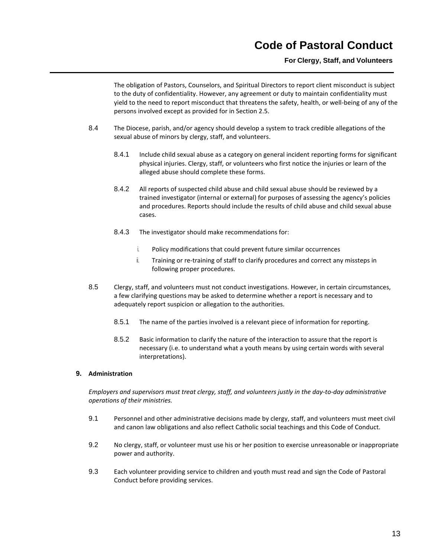**For Clergy, Staff, and Volunteers**

The obligation of Pastors, Counselors, and Spiritual Directors to report client misconduct is subject to the duty of confidentiality. However, any agreement or duty to maintain confidentiality must yield to the need to report misconduct that threatens the safety, health, or well-being of any of the persons involved except as provided for in Section 2.5.

- 8.4 The Diocese, parish, and/or agency should develop a system to track credible allegations of the sexual abuse of minors by clergy, staff, and volunteers.
	- 8.4.1 Include child sexual abuse as a category on general incident reporting forms for significant physical injuries. Clergy, staff, or volunteers who first notice the injuries or learn of the alleged abuse should complete these forms.
	- 8.4.2 All reports of suspected child abuse and child sexual abuse should be reviewed by a trained investigator (internal or external) for purposes of assessing the agency's policies and procedures. Reports should include the results of child abuse and child sexual abuse cases.
	- 8.4.3 The investigator should make recommendations for:
		- i. Policy modifications that could prevent future similar occurrences
		- $\ddot{a}$ . Training or re-training of staff to clarify procedures and correct any missteps in following proper procedures.
- 8.5 Clergy, staff, and volunteers must not conduct investigations. However, in certain circumstances, a few clarifying questions may be asked to determine whether a report is necessary and to adequately report suspicion or allegation to the authorities.
	- 8.5.1 The name of the parties involved is a relevant piece of information for reporting.
	- 8.5.2 Basic information to clarify the nature of the interaction to assure that the report is necessary (i.e. to understand what a youth means by using certain words with several interpretations).

### **9. Administration**

*Employers and supervisors must treat clergy, staff, and volunteers justly in the day-to-day administrative operations of their ministries.*

- 9.1 Personnel and other administrative decisions made by clergy, staff, and volunteers must meet civil and canon law obligations and also reflect Catholic social teachings and this Code of Conduct.
- 9.2 No clergy, staff, or volunteer must use his or her position to exercise unreasonable or inappropriate power and authority.
- 9.3 Each volunteer providing service to children and youth must read and sign the Code of Pastoral Conduct before providing services.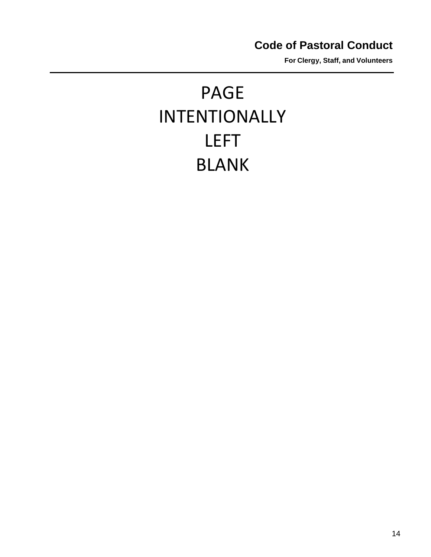**For Clergy, Staff, and Volunteers**

## PAGE INTENTIONALLY LEFT BLANK